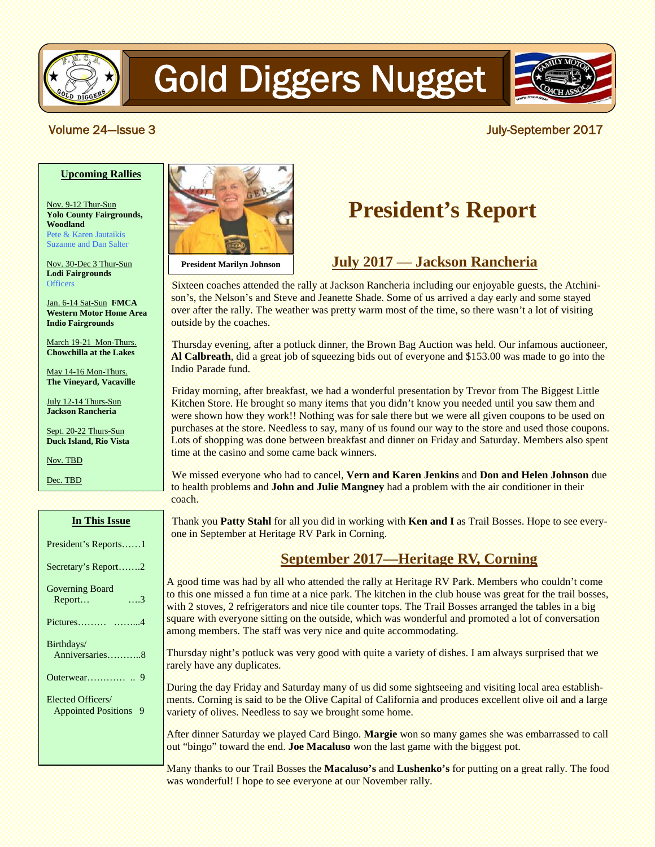

# Gold Diggers Nugget



#### Volume 24—Issue 3 **Volume 24—Issue 3**

#### **Upcoming Rallies**

Nov. 9-12 Thur-Sun **Yolo County Fairgrounds, Woodland** Pete & Karen Jautaikis Suzanne and Dan Salter

Nov. 30-Dec 3 Thur-Sun **Lodi Fairgrounds Officers** 

Jan. 6-14 Sat-Sun **FMCA Western Motor Home Area Indio Fairgrounds**

March 19-21 Mon-Thurs. **Chowchilla at the Lakes**

May 14-16 Mon-Thurs. **The Vineyard, Vacaville**

July 12-14 Thurs-Sun **Jackson Rancheria**

Sept. 20-22 Thurs-Sun **Duck Island, Rio Vista**

Nov. TBD

Dec. TBD

| In This Issue              |
|----------------------------|
| President's Reports1       |
| Secretary's Report2        |
| <b>Governing Board</b>     |
| Report<br>. 3              |
|                            |
| Birthdays/                 |
| Anniversaries8             |
|                            |
| Elected Officers/          |
| <b>Appointed Positions</b> |
|                            |
|                            |
|                            |



**President Marilyn Johnson**

### **President's Report**

### **July 2017** — **Jackson Rancheria**

Sixteen coaches attended the rally at Jackson Rancheria including our enjoyable guests, the Atchinison's, the Nelson's and Steve and Jeanette Shade. Some of us arrived a day early and some stayed over after the rally. The weather was pretty warm most of the time, so there wasn't a lot of visiting outside by the coaches.

Thursday evening, after a potluck dinner, the Brown Bag Auction was held. Our infamous auctioneer, **Al Calbreath**, did a great job of squeezing bids out of everyone and \$153.00 was made to go into the Indio Parade fund.

Friday morning, after breakfast, we had a wonderful presentation by Trevor from The Biggest Little Kitchen Store. He brought so many items that you didn't know you needed until you saw them and were shown how they work!! Nothing was for sale there but we were all given coupons to be used on purchases at the store. Needless to say, many of us found our way to the store and used those coupons. Lots of shopping was done between breakfast and dinner on Friday and Saturday. Members also spent time at the casino and some came back winners.

We missed everyone who had to cancel, **Vern and Karen Jenkins** and **Don and Helen Johnson** due to health problems and **John and Julie Mangney** had a problem with the air conditioner in their coach.

Thank you **Patty Stahl** for all you did in working with **Ken and I** as Trail Bosses. Hope to see everyone in September at Heritage RV Park in Corning.

#### **September 2017—Heritage RV, Corning**

A good time was had by all who attended the rally at Heritage RV Park. Members who couldn't come to this one missed a fun time at a nice park. The kitchen in the club house was great for the trail bosses, with 2 stoves, 2 refrigerators and nice tile counter tops. The Trail Bosses arranged the tables in a big square with everyone sitting on the outside, which was wonderful and promoted a lot of conversation among members. The staff was very nice and quite accommodating.

Thursday night's potluck was very good with quite a variety of dishes. I am always surprised that we rarely have any duplicates.

During the day Friday and Saturday many of us did some sightseeing and visiting local area establishments. Corning is said to be the Olive Capital of California and produces excellent olive oil and a large variety of olives. Needless to say we brought some home.

After dinner Saturday we played Card Bingo. **Margie** won so many games she was embarrassed to call out "bingo" toward the end. **Joe Macaluso** won the last game with the biggest pot.

Many thanks to our Trail Bosses the **Macaluso's** and **Lushenko's** for putting on a great rally. The food was wonderful! I hope to see everyone at our November rally.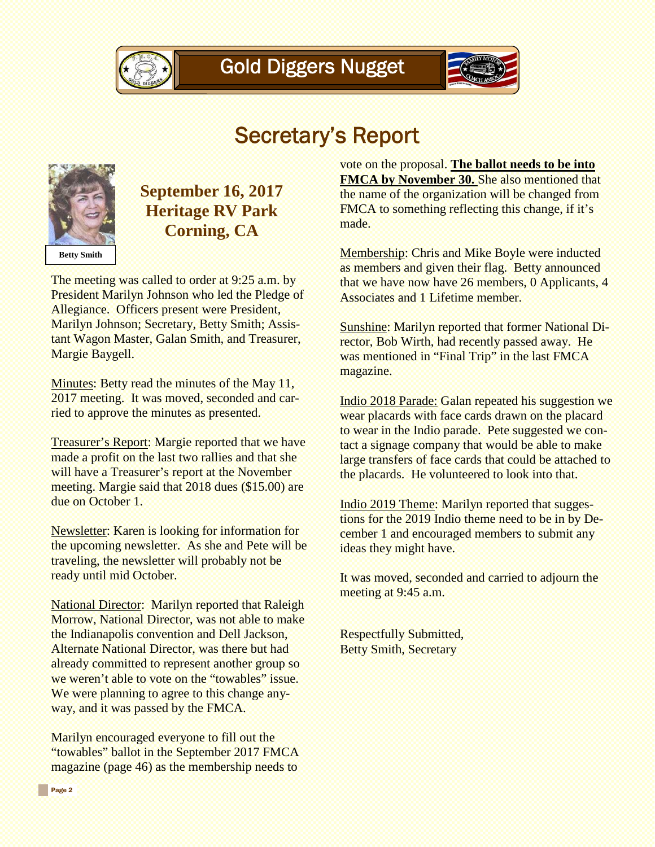



### Secretary's Report



### **September 16, 2017 Heritage RV Park Corning, CA**

The meeting was called to order at 9:25 a.m. by President Marilyn Johnson who led the Pledge of Allegiance. Officers present were President, Marilyn Johnson; Secretary, Betty Smith; Assistant Wagon Master, Galan Smith, and Treasurer, Margie Baygell.

Minutes: Betty read the minutes of the May 11, 2017 meeting. It was moved, seconded and carried to approve the minutes as presented.

Treasurer's Report: Margie reported that we have made a profit on the last two rallies and that she will have a Treasurer's report at the November meeting. Margie said that 2018 dues (\$15.00) are due on October 1.

Newsletter: Karen is looking for information for the upcoming newsletter. As she and Pete will be traveling, the newsletter will probably not be ready until mid October.

National Director: Marilyn reported that Raleigh Morrow, National Director, was not able to make the Indianapolis convention and Dell Jackson, Alternate National Director, was there but had already committed to represent another group so we weren't able to vote on the "towables" issue. We were planning to agree to this change anyway, and it was passed by the FMCA.

Marilyn encouraged everyone to fill out the "towables" ballot in the September 2017 FMCA magazine (page 46) as the membership needs to

vote on the proposal. **The ballot needs to be into FMCA by November 30.** She also mentioned that the name of the organization will be changed from FMCA to something reflecting this change, if it's made.

Membership: Chris and Mike Boyle were inducted as members and given their flag. Betty announced that we have now have 26 members, 0 Applicants, 4 Associates and 1 Lifetime member.

Sunshine: Marilyn reported that former National Director, Bob Wirth, had recently passed away. He was mentioned in "Final Trip" in the last FMCA magazine.

Indio 2018 Parade: Galan repeated his suggestion we wear placards with face cards drawn on the placard to wear in the Indio parade. Pete suggested we contact a signage company that would be able to make large transfers of face cards that could be attached to the placards. He volunteered to look into that.

Indio 2019 Theme: Marilyn reported that suggestions for the 2019 Indio theme need to be in by December 1 and encouraged members to submit any ideas they might have.

It was moved, seconded and carried to adjourn the meeting at 9:45 a.m.

Respectfully Submitted, Betty Smith, Secretary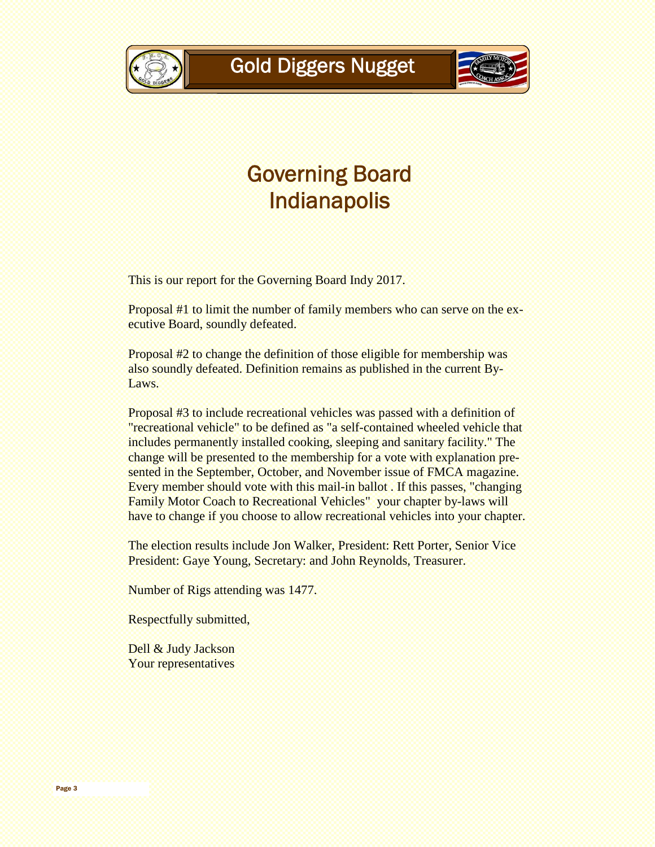

### Governing Board Indianapolis

This is our report for the Governing Board Indy 2017.

Proposal #1 to limit the number of family members who can serve on the executive Board, soundly defeated.

Proposal #2 to change the definition of those eligible for membership was also soundly defeated. Definition remains as published in the current By-Laws.

Proposal #3 to include recreational vehicles was passed with a definition of "recreational vehicle" to be defined as "a self-contained wheeled vehicle that includes permanently installed cooking, sleeping and sanitary facility." The change will be presented to the membership for a vote with explanation presented in the September, October, and November issue of FMCA magazine. Every member should vote with this mail-in ballot . If this passes, "changing Family Motor Coach to Recreational Vehicles" your chapter by-laws will have to change if you choose to allow recreational vehicles into your chapter.

The election results include Jon Walker, President: Rett Porter, Senior Vice President: Gaye Young, Secretary: and John Reynolds, Treasurer.

Number of Rigs attending was 1477.

Respectfully submitted,

Dell & Judy Jackson Your representatives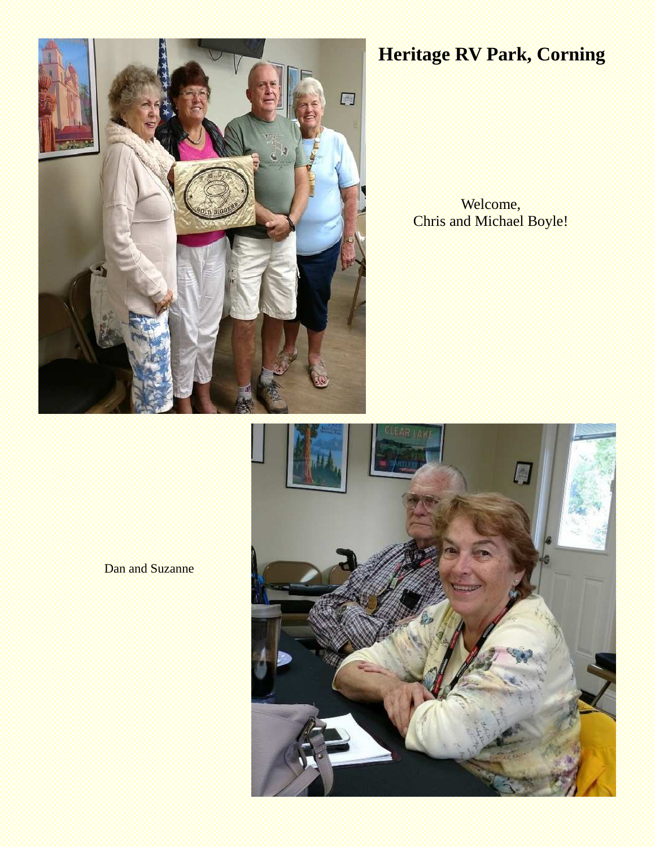

### **Heritage RV Park, Corning**

Welcome, Chris and Michael Boyle!

Dan and Suzanne

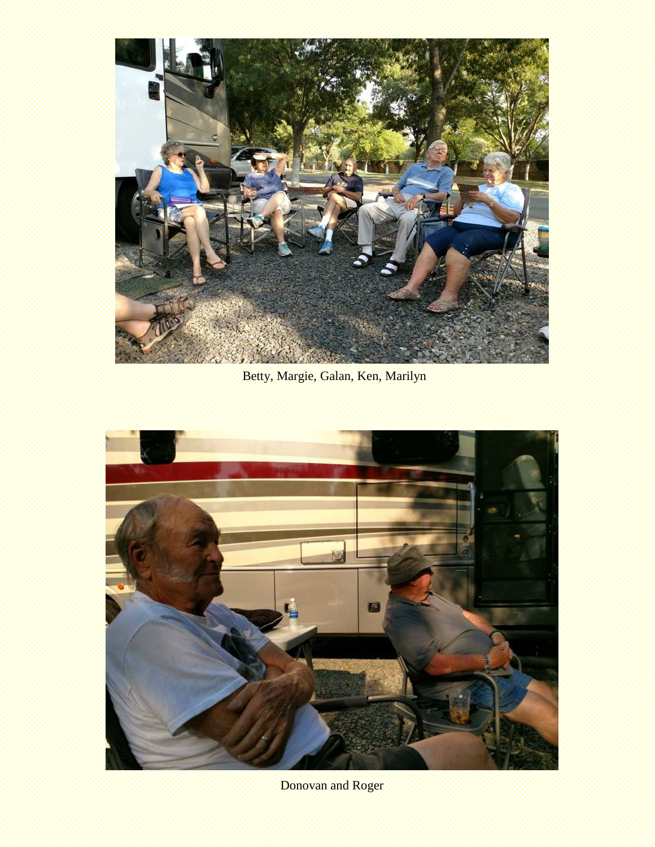

Betty, Margie, Galan, Ken, Marilyn



Donovan and Roger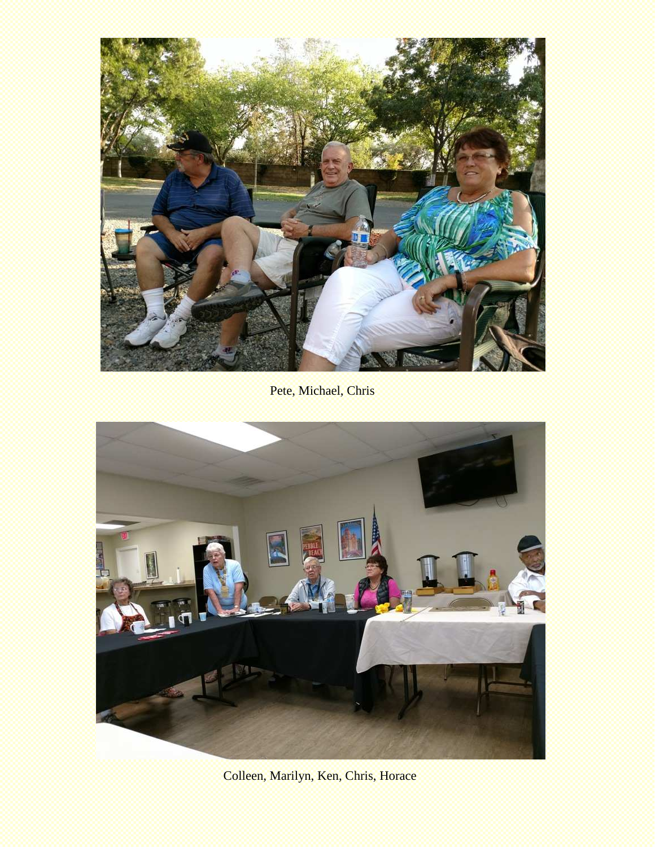![](_page_5_Picture_0.jpeg)

Pete, Michael, Chris

![](_page_5_Picture_2.jpeg)

Colleen, Marilyn, Ken, Chris, Horace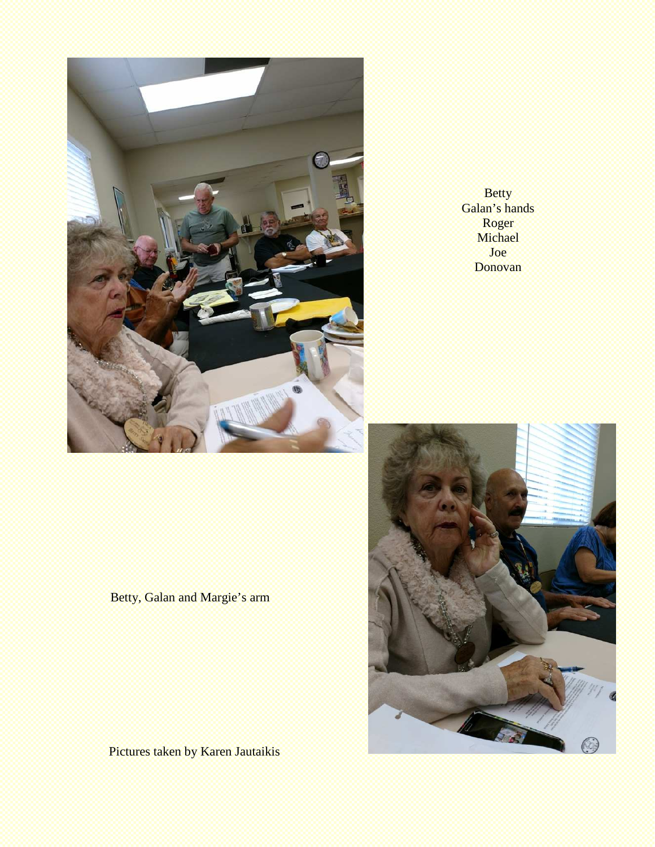![](_page_6_Picture_0.jpeg)

Betty Galan's hands Roger **Michael** Joe Donovan

Betty, Galan and Margie's arm

![](_page_6_Picture_3.jpeg)

Pictures taken by Karen Jautaikis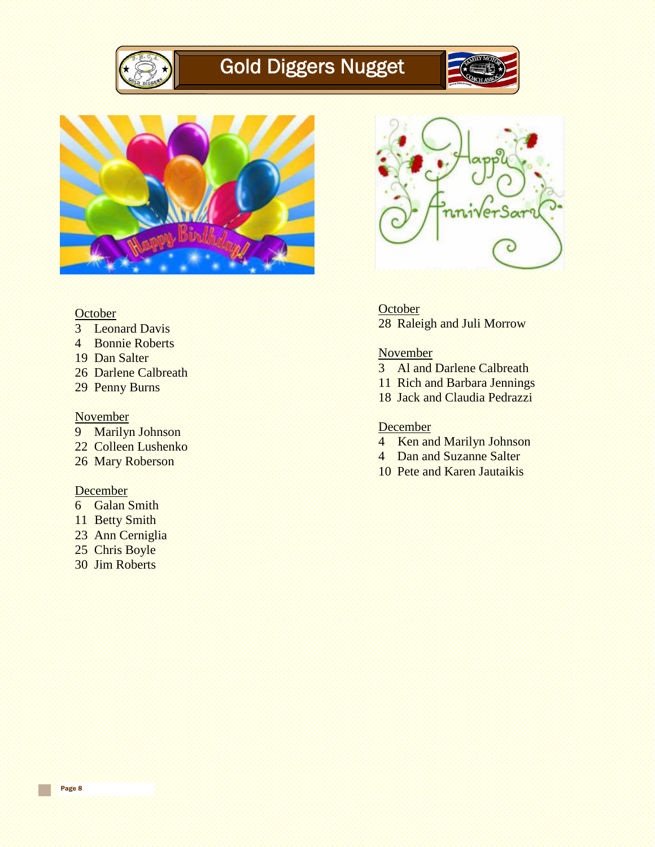![](_page_7_Picture_0.jpeg)

## Gold Diggers Nugget

![](_page_7_Picture_2.jpeg)

![](_page_7_Picture_3.jpeg)

![](_page_7_Picture_4.jpeg)

- 3 Leonard Davis
- 4 Bonnie Roberts
- 19 Dan Salter
- 26 Darlene Calbreath
- 29 Penny Burns

#### November

- 9 Marilyn Johnson
- 22 Colleen Lushenko
- 26 Mary Roberson

#### **December**

Page 8

- 6 Galan Smith
- 11 Betty Smith
- 23 Ann Cerniglia
- 25 Chris Boyle
- 30 Jim Roberts

![](_page_7_Picture_20.jpeg)

**October** 28 Raleigh and Juli Morrow

#### **November**

- 3 Al and Darlene Calbreath
- 11 Rich and Barbara Jennings
- 18 Jack and Claudia Pedrazzi

#### **December**

- 4 Ken and Marilyn Johnson
- 4 Dan and Suzanne Salter
- 10 Pete and Karen Jautaikis